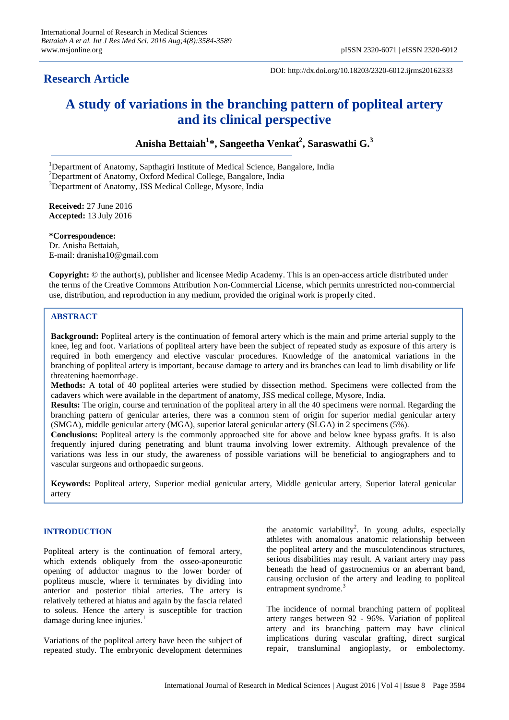# **Research Article**

DOI: http://dx.doi.org/10.18203/2320-6012.ijrms20162333

# **A study of variations in the branching pattern of popliteal artery and its clinical perspective**

**Anisha Bettaiah<sup>1</sup> \*, Sangeetha Venkat 2 , Saraswathi G. 3**

<sup>1</sup>Department of Anatomy, Sapthagiri Institute of Medical Science, Bangalore, India

<sup>2</sup>Department of Anatomy, Oxford Medical College, Bangalore, India

<sup>3</sup>Department of Anatomy, JSS Medical College, Mysore, India

**Received:** 27 June 2016 **Accepted:** 13 July 2016

**\*Correspondence:** Dr. Anisha Bettaiah, E-mail: dranisha10@gmail.com

**Copyright:** © the author(s), publisher and licensee Medip Academy. This is an open-access article distributed under the terms of the Creative Commons Attribution Non-Commercial License, which permits unrestricted non-commercial use, distribution, and reproduction in any medium, provided the original work is properly cited.

# **ABSTRACT**

**Background:** Popliteal artery is the continuation of femoral artery which is the main and prime arterial supply to the knee, leg and foot. Variations of popliteal artery have been the subject of repeated study as exposure of this artery is required in both emergency and elective vascular procedures. Knowledge of the anatomical variations in the branching of popliteal artery is important, because damage to artery and its branches can lead to limb disability or life threatening haemorrhage.

**Methods:** A total of 40 popliteal arteries were studied by dissection method. Specimens were collected from the cadavers which were available in the department of anatomy, JSS medical college, Mysore, India.

**Results:** The origin, course and termination of the popliteal artery in all the 40 specimens were normal. Regarding the branching pattern of genicular arteries, there was a common stem of origin for superior medial genicular artery (SMGA), middle genicular artery (MGA), superior lateral genicular artery (SLGA) in 2 specimens (5%).

**Conclusions:** Popliteal artery is the commonly approached site for above and below knee bypass grafts. It is also frequently injured during penetrating and blunt trauma involving lower extremity. Although prevalence of the variations was less in our study, the awareness of possible variations will be beneficial to angiographers and to vascular surgeons and orthopaedic surgeons.

**Keywords:** Popliteal artery, Superior medial genicular artery, Middle genicular artery, Superior lateral genicular artery

# **INTRODUCTION**

Popliteal artery is the continuation of femoral artery, which extends obliquely from the osseo-aponeurotic opening of adductor magnus to the lower border of popliteus muscle, where it terminates by dividing into anterior and posterior tibial arteries. The artery is relatively tethered at hiatus and again by the fascia related to soleus. Hence the artery is susceptible for traction damage during knee injuries.<sup>1</sup>

Variations of the popliteal artery have been the subject of repeated study. The embryonic development determines

the anatomic variability<sup>2</sup>. In young adults, especially athletes with anomalous anatomic relationship between the popliteal artery and the musculotendinous structures, serious disabilities may result. A variant artery may pass beneath the head of gastrocnemius or an aberrant band, causing occlusion of the artery and leading to popliteal entrapment syndrome.<sup>3</sup>

The incidence of normal branching pattern of popliteal artery ranges between 92 - 96%. Variation of popliteal artery and its branching pattern may have clinical implications during vascular grafting, direct surgical repair, transluminal angioplasty, or embolectomy.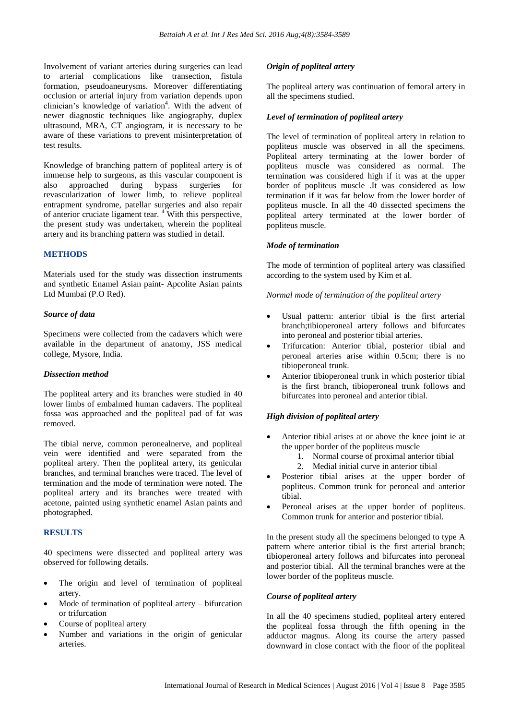Involvement of variant arteries during surgeries can lead to arterial complications like transection, fistula formation, pseudoaneurysms. Moreover differentiating occlusion or arterial injury from variation depends upon clinician's knowledge of variation<sup>4</sup>. With the advent of newer diagnostic techniques like angiography, duplex ultrasound, MRA, CT angiogram, it is necessary to be aware of these variations to prevent misinterpretation of test results.

Knowledge of branching pattern of popliteal artery is of immense help to surgeons, as this vascular component is also approached during bypass surgeries for revascularization of lower limb, to relieve popliteal entrapment syndrome, patellar surgeries and also repair of anterior cruciate ligament tear. <sup>4</sup> With this perspective, the present study was undertaken, wherein the popliteal artery and its branching pattern was studied in detail.

# **METHODS**

Materials used for the study was dissection instruments and synthetic Enamel Asian paint- Apcolite Asian paints Ltd Mumbai (P.O Red).

#### *Source of data*

Specimens were collected from the cadavers which were available in the department of anatomy, JSS medical college, Mysore, India.

#### *Dissection method*

The popliteal artery and its branches were studied in 40 lower limbs of embalmed human cadavers. The popliteal fossa was approached and the popliteal pad of fat was removed.

The tibial nerve, common peronealnerve, and popliteal vein were identified and were separated from the popliteal artery. Then the popliteal artery, its genicular branches, and terminal branches were traced. The level of termination and the mode of termination were noted. The popliteal artery and its branches were treated with acetone, painted using synthetic enamel Asian paints and photographed.

# **RESULTS**

40 specimens were dissected and popliteal artery was observed for following details.

- The origin and level of termination of popliteal artery.
- Mode of termination of popliteal artery bifurcation or trifurcation
- Course of popliteal artery
- Number and variations in the origin of genicular arteries.

# *Origin of popliteal artery*

The popliteal artery was continuation of femoral artery in all the specimens studied.

#### *Level of termination of popliteal artery*

The level of termination of popliteal artery in relation to popliteus muscle was observed in all the specimens. Popliteal artery terminating at the lower border of popliteus muscle was considered as normal. The termination was considered high if it was at the upper border of popliteus muscle .It was considered as low termination if it was far below from the lower border of popliteus muscle. In all the 40 dissected specimens the popliteal artery terminated at the lower border of popliteus muscle.

# *Mode of termination*

The mode of termintion of popliteal artery was classified according to the system used by Kim et al.

# *Normal mode of termination of the popliteal artery*

- Usual pattern: anterior tibial is the first arterial branch;tibioperoneal artery follows and bifurcates into peroneal and posterior tibial arteries.
- Trifurcation: Anterior tibial, posterior tibial and peroneal arteries arise within 0.5cm; there is no tibioperoneal trunk.
- Anterior tibioperoneal trunk in which posterior tibial is the first branch, tibioperoneal trunk follows and bifurcates into peroneal and anterior tibial.

# *High division of popliteal artery*

- Anterior tibial arises at or above the knee joint ie at the upper border of the popliteus muscle
	- 1. Normal course of proximal anterior tibial 2. Medial initial curve in anterior tibial
- Posterior tibial arises at the upper border of popliteus. Common trunk for peroneal and anterior tibial.
- Peroneal arises at the upper border of popliteus. Common trunk for anterior and posterior tibial.

In the present study all the specimens belonged to type A pattern where anterior tibial is the first arterial branch; tibioperoneal artery follows and bifurcates into peroneal and posterior tibial. All the terminal branches were at the lower border of the popliteus muscle.

# *Course of popliteal artery*

In all the 40 specimens studied, popliteal artery entered the popliteal fossa through the fifth opening in the adductor magnus. Along its course the artery passed downward in close contact with the floor of the popliteal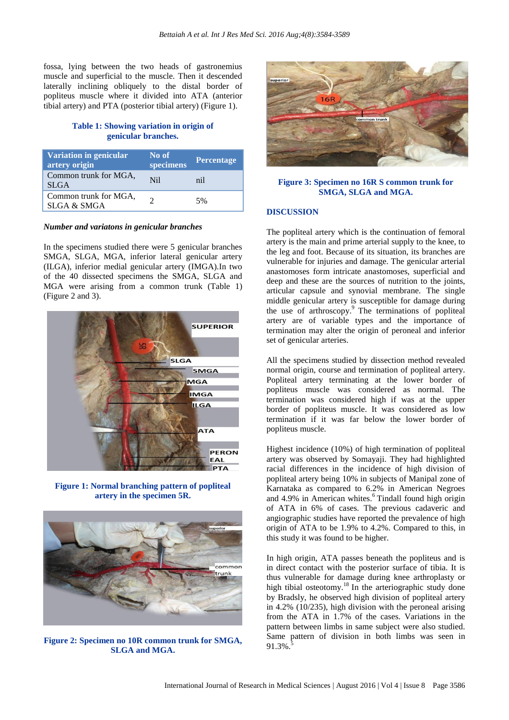fossa, lying between the two heads of gastronemius muscle and superficial to the muscle. Then it descended laterally inclining obliquely to the distal border of popliteus muscle where it divided into ATA (anterior tibial artery) and PTA (posterior tibial artery) (Figure 1).

# **Table 1: Showing variation in origin of genicular branches.**

| Variation in genicular<br>artery origin         | No of<br>specimens | Percentage |
|-------------------------------------------------|--------------------|------------|
| Common trunk for MGA,<br><b>SLGA</b>            | N <sub>i</sub>     | nil        |
| Common trunk for MGA,<br><b>SLGA &amp; SMGA</b> |                    | 5%         |

#### *Number and variatons in genicular branches*

In the specimens studied there were 5 genicular branches SMGA, SLGA, MGA, inferior lateral genicular artery (ILGA), inferior medial genicular artery (IMGA).In two of the 40 dissected specimens the SMGA, SLGA and MGA were arising from a common trunk (Table 1) (Figure 2 and 3).



**Figure 1: Normal branching pattern of popliteal artery in the specimen 5R.**



**Figure 2: Specimen no 10R common trunk for SMGA, SLGA and MGA.**



#### **Figure 3: Specimen no 16R S common trunk for SMGA, SLGA and MGA.**

#### **DISCUSSION**

The popliteal artery which is the continuation of femoral artery is the main and prime arterial supply to the knee, to the leg and foot. Because of its situation, its branches are vulnerable for injuries and damage. The genicular arterial anastomoses form intricate anastomoses, superficial and deep and these are the sources of nutrition to the joints, articular capsule and synovial membrane. The single middle genicular artery is susceptible for damage during the use of arthroscopy.<sup>9</sup> The terminations of popliteal artery are of variable types and the importance of termination may alter the origin of peroneal and inferior set of genicular arteries.

All the specimens studied by dissection method revealed normal origin, course and termination of popliteal artery. Popliteal artery terminating at the lower border of popliteus muscle was considered as normal. The termination was considered high if was at the upper border of popliteus muscle. It was considered as low termination if it was far below the lower border of popliteus muscle.

Highest incidence (10%) of high termination of popliteal artery was observed by Somayaji. They had highlighted racial differences in the incidence of high division of popliteal artery being 10% in subjects of Manipal zone of Karnataka as compared to 6.2% in American Negroes and 4.9% in American whites. <sup>6</sup> Tindall found high origin of ATA in 6% of cases. The previous cadaveric and angiographic studies have reported the prevalence of high origin of ATA to be 1.9% to 4.2%. Compared to this, in this study it was found to be higher.

In high origin, ATA passes beneath the popliteus and is in direct contact with the posterior surface of tibia. It is thus vulnerable for damage during knee arthroplasty or high tibial osteotomy.<sup>18</sup> In the arteriographic study done by Bradsly, he observed high division of popliteal artery in 4.2% (10/235), high division with the peroneal arising from the ATA in 1.7% of the cases. Variations in the pattern between limbs in same subject were also studied. Same pattern of division in both limbs was seen in  $91.3\%$ .<sup>5</sup>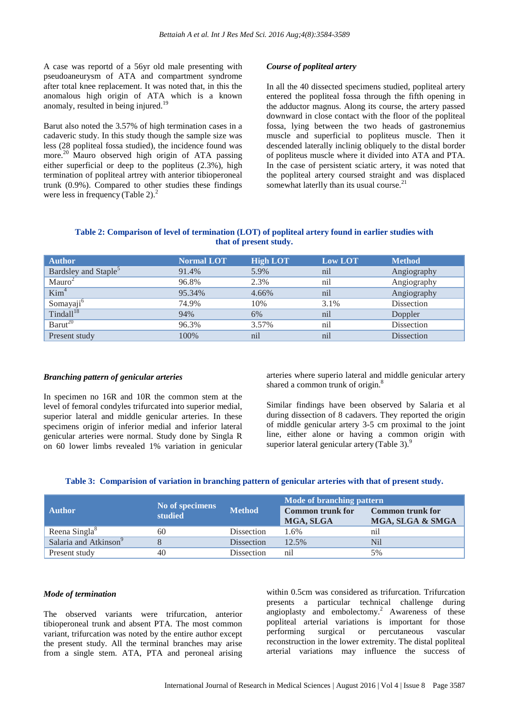A case was reportd of a 56yr old male presenting with pseudoaneurysm of ATA and compartment syndrome after total knee replacement. It was noted that, in this the anomalous high origin of ATA which is a known anomaly, resulted in being injured.<sup>19</sup>

Barut also noted the 3.57% of high termination cases in a cadaveric study. In this study though the sample size was less (28 popliteal fossa studied), the incidence found was more.<sup>20</sup> Mauro observed high origin of ATA passing either superficial or deep to the popliteus (2.3%), high termination of popliteal artrey with anterior tibioperoneal trunk (0.9%). Compared to other studies these findings were less in frequency (Table 2). $<sup>2</sup>$ </sup>

#### *Course of popliteal artery*

In all the 40 dissected specimens studied, popliteal artery entered the popliteal fossa through the fifth opening in the adductor magnus. Along its course, the artery passed downward in close contact with the floor of the popliteal fossa, lying between the two heads of gastronemius muscle and superficial to popliteus muscle. Then it descended laterally inclinig obliquely to the distal border of popliteus muscle where it divided into ATA and PTA. In the case of persistent sciatic artery, it was noted that the popliteal artery coursed straight and was displaced somewhat laterlly than its usual course.<sup>21</sup>

#### **Table 2: Comparison of level of termination (LOT) of popliteal artery found in earlier studies with that of present study.**

| <b>Author</b>                    | <b>Normal LOT</b> | <b>High LOT</b> | <b>Low LOT</b> | <b>Method</b> |
|----------------------------------|-------------------|-----------------|----------------|---------------|
| Bardsley and Staple <sup>5</sup> | 91.4%             | 5.9%            | nil            | Angiography   |
| Mauro <sup>2</sup>               | 96.8%             | 2.3%            | nil            | Angiography   |
| Kim <sup>4</sup>                 | 95.34%            | 4.66%           | nil            | Angiography   |
| Somayaji <sup>6</sup>            | 74.9%             | 10%             | 3.1%           | Dissection    |
| Tindall <sup>18</sup>            | 94%               | 6%              | nil            | Doppler       |
| Barut <sup>20</sup>              | 96.3%             | 3.57%           | nil            | Dissection    |
| Present study                    | 100%              | nil             | nil            | Dissection    |

#### *Branching pattern of genicular arteries*

In specimen no 16R and 10R the common stem at the level of femoral condyles trifurcated into superior medial, superior lateral and middle genicular arteries. In these specimens origin of inferior medial and inferior lateral genicular arteries were normal. Study done by Singla R on 60 lower limbs revealed 1% variation in genicular arteries where superio lateral and middle genicular artery shared a common trunk of origin.<sup>8</sup>

Similar findings have been observed by Salaria et al during dissection of 8 cadavers. They reported the origin of middle genicular artery 3-5 cm proximal to the joint line, either alone or having a common origin with superior lateral genicular artery (Table 3).<sup>9</sup>

|  |  |  |  | Table 3: Comparision of variation in branching pattern of genicular arteries with that of present study. |
|--|--|--|--|----------------------------------------------------------------------------------------------------------|
|  |  |  |  |                                                                                                          |

|                                   |                            | <b>Method</b>     | Mode of branching pattern            |                                             |  |
|-----------------------------------|----------------------------|-------------------|--------------------------------------|---------------------------------------------|--|
| <b>Author</b>                     | No of specimens<br>studied |                   | <b>Common trunk for</b><br>MGA, SLGA | <b>Common trunk for</b><br>MGA, SLGA & SMGA |  |
|                                   |                            |                   |                                      |                                             |  |
| Reena Singla <sup>8</sup>         | 60                         | Dissection        | 1.6%                                 | ni                                          |  |
| Salaria and Atkinson <sup>9</sup> |                            | <b>Dissection</b> | 12.5%                                | <b>Nil</b>                                  |  |
| Present study                     | 40                         | <b>Dissection</b> | nil                                  | 5%                                          |  |

#### *Mode of termination*

The observed variants were trifurcation, anterior tibioperoneal trunk and absent PTA. The most common variant, trifurcation was noted by the entire author except the present study. All the terminal branches may arise from a single stem. ATA, PTA and peroneal arising within 0.5cm was considered as trifurcation. Trifurcation presents a particular technical challenge during angioplasty and embolectomy.<sup>2</sup> Awareness of these popliteal arterial variations is important for those performing surgical or percutaneous vascular reconstruction in the lower extremity. The distal popliteal arterial variations may influence the success of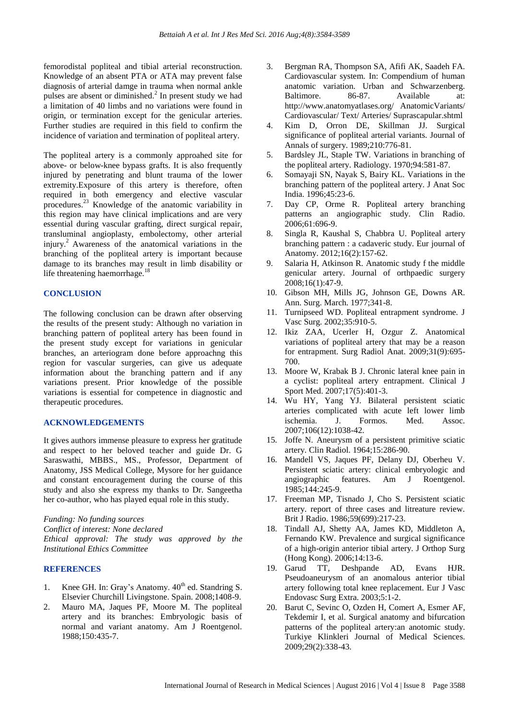femorodistal popliteal and tibial arterial reconstruction. Knowledge of an absent PTA or ATA may prevent false diagnosis of arterial damge in trauma when normal ankle pulses are absent or diminished. $2$  In present study we had a limitation of 40 limbs and no variations were found in origin, or termination except for the genicular arteries. Further studies are required in this field to confirm the incidence of variation and termination of popliteal artery.

The popliteal artery is a commonly approahed site for above- or below-knee bypass grafts. It is also frequently injured by penetrating and blunt trauma of the lower extremity.Exposure of this artery is therefore, often required in both emergency and elective vascular procedures.<sup>23</sup> Knowledge of the anatomic variability in this region may have clinical implications and are very essential during vascular grafting, direct surgical repair, transluminal angioplasty, embolectomy, other arterial injury.<sup>2</sup> Awareness of the anatomical variations in the branching of the popliteal artery is important because damage to its branches may result in limb disability or life threatening haemorrhage.<sup>18</sup>

#### **CONCLUSION**

The following conclusion can be drawn after observing the results of the present study: Although no variation in branching pattern of popliteal artery has been found in the present study except for variations in genicular branches, an arteriogram done before approachng this region for vascular surgeries, can give us adequate information about the branching pattern and if any variations present. Prior knowledge of the possible variations is essential for competence in diagnostic and therapeutic procedures.

#### **ACKNOWLEDGEMENTS**

It gives authors immense pleasure to express her gratitude and respect to her beloved teacher and guide Dr. G Saraswathi, MBBS., MS., Professor, Department of Anatomy, JSS Medical College, Mysore for her guidance and constant encouragement during the course of this study and also she express my thanks to Dr. Sangeetha her co-author, who has played equal role in this study.

*Funding: No funding sources Conflict of interest: None declared Ethical approval: The study was approved by the Institutional Ethics Committee*

# **REFERENCES**

- 1. Knee GH. In: Gray's Anatomy.  $40<sup>th</sup>$  ed. Standring S. Elsevier Churchill Livingstone. Spain. 2008;1408-9.
- 2. Mauro MA, Jaques PF, Moore M. The popliteal artery and its branches: Embryologic basis of normal and variant anatomy. Am J Roentgenol. 1988;150:435-7.
- 3. Bergman RA, Thompson SA, Afifi AK, Saadeh FA. Cardiovascular system. In: Compendium of human anatomic variation. Urban and Schwarzenberg. Baltimore. 86-87. Available at: http://www.anatomyatlases.org/ AnatomicVariants/ Cardiovascular/ Text/ Arteries/ Suprascapular.shtml
- 4. Kim D, Orron DE, Skillman JJ. Surgical significance of popliteal arterial variants. Journal of Annals of surgery. 1989;210:776-81.
- 5. Bardsley JL, Staple TW. Variations in branching of the popliteal artery. Radiology. 1970;94:581-87.
- 6. Somayaji SN, Nayak S, Bairy KL. Variations in the branching pattern of the popliteal artery. J Anat Soc India. 1996;45:23-6.
- 7. Day CP, Orme R. Popliteal artery branching patterns an angiographic study. Clin Radio. 2006;61:696-9.
- 8. Singla R, Kaushal S, Chabbra U. Popliteal artery branching pattern : a cadaveric study. Eur journal of Anatomy. 2012;16(2):157-62.
- 9. Salaria H, Atkinson R. Anatomic study f the middle genicular artery. Journal of orthpaedic surgery 2008;16(1):47-9.
- 10. Gibson MH, Mills JG, Johnson GE, Downs AR. Ann. Surg. March. 1977;341-8.
- 11. Turnipseed WD. Popliteal entrapment syndrome. J Vasc Surg. 2002;35:910-5.
- 12. Ikiz ZAA, Ucerler H, Ozgur Z. Anatomical variations of popliteal artery that may be a reason for entrapment. Surg Radiol Anat. 2009;31(9):695- 700.
- 13. Moore W, Krabak B J. Chronic lateral knee pain in a cyclist: popliteal artery entrapment. Clinical J Sport Med. 2007;17(5):401-3.
- 14. Wu HY, Yang YJ. Bilateral persistent sciatic arteries complicated with acute left lower limb ischemia. J. Formos. Med. Assoc. 2007;106(12):1038-42.
- 15. Joffe N. Aneurysm of a persistent primitive sciatic artery. Clin Radiol. 1964;15:286-90.
- 16. Mandell VS, Jaques PF, Delany DJ, Oberheu V. Persistent sciatic artery: clinical embryologic and angiographic features. Am J Roentgenol. 1985;144:245-9.
- 17. Freeman MP, Tisnado J, Cho S. Persistent sciatic artery. report of three cases and litreature review. Brit J Radio. 1986;59(699):217-23.
- 18. Tindall AJ, Shetty AA, James KD, Middleton A, Fernando KW. Prevalence and surgical significance of a high-origin anterior tibial artery. J Orthop Surg (Hong Kong). 2006;14:13-6.
- 19. Garud TT, Deshpande AD, Evans HJR. Pseudoaneurysm of an anomalous anterior tibial artery following total knee replacement. Eur J Vasc Endovasc Surg Extra. 2003;5:1-2.
- 20. Barut C, Sevinc O, Ozden H, Comert A, Esmer AF, Tekdemir I, et al. Surgical anatomy and bifurcation patterns of the popliteal artery:an anotomic study. Turkiye Klinkleri Journal of Medical Sciences. 2009;29(2):338-43.